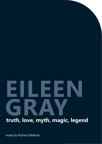# **EILEEN GRAY**<br>Truth love myth magic

**truth, love, myth, magic, legend**

essay by Richard Malone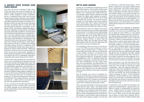## *A SEANCE OVER SCONES AND SODA BREAD*

*June 2021 will see the re-opening of Eileen Gray's E.1027 villa, after seven years of renovation by Cap Moderne to take the house back to its 1929 state. The house is widely considered a modern masterpiece, yet has a complicated history. Gray's work has gone through stages of being overlooked, almost forgotten - the house itself has fallen into several states of disrepair before renovations took place. Le Corbusier, a contemporary of Gray, was said to be envious of the space she built, and painted infamous murals there after Gray left, which she referred to - quite rightly - as vandalism. In 2020, I was asked to contribute, somehow, to the house's reopening. Through several conversations and a year of this hideous pandemic, and with support from the brilliant Cathy Giangrande, we decided to curate a show that celebrates Gray's incredible legacy. This is not a showcase of work which looks like Gray's. What Gray's work left behind is something far more nuanced than the many contemporary imitations. The show's title, "Making and Momentum" speaks deliberately of process and time, something ever-changing and always moving. The show is a celebration of the spirit of self-directed making, which places equal importance on artisans, makers and artists. "Making and Momentum" centers the very real creative energy that drives so much of our human spirits, allowing us to create worlds and languages. It is an incredible honour to be tasked with such an undertaking, especially in conversation with a person whose work I so admire.* 

The title of this essay represents the cornerstones by which I came to understand and experience the work of the artist, architect and designer Eileen Gray. They are everything and nothing. Within the framework of my understanding, appreciation and admiration is a rejection of the academic; or "referenced" responses to art and design making. The very act of making, and the idea of radically working against a zeitgeist, is for me, an act of love. A love of the self and an utter trust in the creative spirit that many of us believe to be guiding us, one that has been particularly relied upon in current times. This is magic that allows - and makes real space for - creation, which in turn finds truth in the real, existing object that is left behind.

For me, a true piece of work finds itself within a larger language. One that is created, written and shared. This artistic language can be experienced and observed; learned even, by many, but is only truly spoken; *invented* by one.



Hand woven blanket woven by Mourne Textiles, appliqued by Richard Malone installed in lower bedroom of Villa E.1027

son, as 'Irish'. When we place something or someone within a specific cultural context, it is always curious to note what part of that culture we are referencing, or what "Irishness" we refer to - in one that is a complex history both associated with an ancient world and progressive modernism. The Republic of Ireland was established in 1916 – so, relatively recently. Gray emulates an energy that I associate with ancient Ireland, when self-definition and new cultural norms were yet to be established. Long before British colonisation and the spread of Christianity. The nuanced and ever-changing surface of Ireland is an interesting place for Gray's legend to live, and within personal histories and conversation we have ideas of invention and myth.

**MYTH AND LEGEND** Growing up in rural Wexford, the legend and work of Eileen Gray existed in a kind of ether, another world. Gray's work came into my life through storytelling… folklore, even. It appeared both mythical and magical. Daringly original, radically created and lovingly executed. Her objects were explained as functional, yet were entirely different from all of the things I associated with 'function'. The work had, and has, a presence to it that speaks to the human condition, of the human body, which I believe transcends the more recent academic study of her work - as well as the placing of her work within the construct of 'time'. of creativity as a distinctly female energy - the Bó Báinne, a mythical cow who grazes eternally serves as our 'mother earth', and Prithvi, mother earth in Sanskrit, appeared in cow form and was milked by Prithu, an incarnation of Vishna. Gray's work finds itself truthfully existing in the *ceantair* through form and function, yet her self-directed creation, her language, has always felt to me like something from the altar. A kind of persistence to self-investment, or a belief in that which has not yet been created… When I experienced her work and her legend, it is a distinctly creative female energy that I have learned to associate it with.

To write about her work in an academic sense would, I think, be to take away from my initial understanding of her practice. For excellent, broad understandings of Gray's work, we can read the exceptional essays and collected works of Dr. Jennifer Goff, Curator of Furniture, Musical Instruments and the Eileen Gray collection, National Museum of Ireland. Note the recent book -Eileen Gray, Her Work and Her World, Irish Academic Press Ltd, 2014) My relationship with Gray's work comes from someplace else. It is interesting to refer to her work, or even her per-I never understood the language of modernism, the sophistication and excellence allegedly present, sometimes, in its neat forms and refined design. Even now, to apply the word 'modern' to a set, expired time-frame seems somehow incorrect. I find that often, defining artists and designers within these simplified and limiting frameworks, serves as a reduction of practice. It leads to a homogenisation of culture. It allows trends to surface and to persist, often creating barriers to nuance. To define Gray's work as simply modern, speaks to our current world that reduces radical form, ambitious design, and hard fucking graft to something that makes a brilliant designer fit computably within a cis, straight male-dominated peer group. One that now understands good design through the eyes of capitalism, and often replaces criticism or critical evaluation with "likes", the very action of which is reductive, and when applied to an understanding of Gray's work, is impossible. This is why the more ancient, and the more imagined, the better.

Gray, for example, was a part of a protestant Anglo-Irish family that lived in a large and stately home in Wexford; yet my experience of her work through storytelling allowed me to imagine our similarities. It is a meeting of two worlds that co-exist in one place; a place that is endlessly reimagining the modern. Gray's work spoke to me from the moment that I first encountered it. Initially, this was over tea or soda bread and scones through oral descriptions, legend or béaloideas - ideas and imagined worlds that included the human form, perspectives of bodies, of imagination, of language. Hearing of a person, both rural Irish and female, who wholly formulated and created a language for herself - without highfalutin explanation - was an invitation for me to make freely. It wasn't until much later in my life that I understood the importance and relevance of education in the art and design world, from women and men who did not have the opportunity.

There are ancient Irish beliefs in a *ceantair* (our world) and an altar (an 'other' world) - two worlds that are separate, yet co-exist, and that some people, witches for example, can move between. Many of the ideas of ancient Ireland share beliefs that do not accommodate our current understanding of the world. Much of the wording, or word structures share meaning and form with ancient Sanskrit. Included in this the idea For people who grow up without the privilege of education, like my grandmother - exposure to art, confidence to speak, an understanding of cultural discourse - experiencing the real human emotions that go in to creating and even inventing… how do you find a way in? When we look at work that appears now so tasteful, so radical and so beautiful, the academic response can often be isolating. Building walls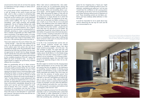around work for those who do not have the capacity to understand it through a deeply un-radical, and often inhuman lens.

As a young person whose comprehension was, and is still, far outside of this world of good and bad taste- which is often a construct in protecting ideas of class, privilege and wealth and serves as isolating those who are born without, how I could understand or find a common ground with work which exists in another world is baffling. The 'way in' was through storytelling - myth, magic, humanity, and inevitably imagination. The act of making, finding truth, really being one's self - these actions are acts of love that come with risk and self-acceptance. This is legend. Asserting one's own presence as something fluid, undefinable, persisting to create a personal language that is instantly recognisable yet often hidden from view is true bravery. To go against a grain, or to imagine yourself outside of your physical world is a dream that often begins with a tinge of impossibility, which, of course, is the stuff that great stories are built on.

These traits radiate from the work of Eileen Gray, and – funnily enough - I have the same response to the work of my late grandmother, who always told me of this radical, queer Irish woman who went on to dominate the design world. My grandmother, Nellie, relished the fact that Gray was female, that she created opportunity for herself, that her design language was for nobody else. Every piece seems like a creation of something completely new, genuine and informed by this complete acceptance of the self. I expect that Nellie saw much of herself in Gray - or at least allowed herself to imagine the synchronicity, however different the circumstance.

When I later came to understand this, I also understood the reason for my grandmother leaving this background out. The transient, imagined world created through folklore and storytelling allows a person to dream - and this applies to fiction as much as reality. When discussing this legacy of Gray with me as a child, the omittance of her wealthy and educated background no doubt allowed me to think this was possible for myself. The experience of her education was not discussed, but Nellie's omittance of it was, in itself, an act of love. We are not an educated family in the traditional sense, but instead made up of craftspeople, apprentices, carpenters, decorators, shop workers, factory floor workers - people who are more often than not referred to as 'low-skilled'. My grandmother herself left school before she was 10, and neither of my parents had a third level education, or even 'A-Levels'. Including an education in her story would have rendered it unrealistic for me. So within the act of storytelling we have a type of editing that allows someone to feel a part of a story that can feel as imagined as any fairytale.

What my grandmother left out in these conversations was the issue of class. Gray was born into an extremely wealthy protestant family. Her own wealth, no doubt, is what accommodated her way in. From staying at the family home in South Kensington while attending the Slade, to having an apartment in Paris, to having the means to travel. All of these no doubt allowed Gray to observe the world of good design, of 'taste'. To study drawing, to study lacquerwork were certainly all radical accomplishments for a woman at the time, yet impossible for a woman without means. Gray's environment, undoubtedly, allowed her to be radical, yet it was her spirit that created the conditions to flourish. This is not a criticism - merely an observation of circumstance, and one that is often overlooked. More often than not, it is still consistently those with access to and absorption to "good taste" and "good art" that tend to be the ones with the confidence to break tradition.

In my life, it has consistently been women who are clever enough, protective enough and creative enough to establish imagined spaces that allow queer, sensitive young people - me in this case - the utter privilege to dream. This again feels akin with that ancient, specifically female creativity that itself creates nature, the Bó Báinne. It is this female energy I identify most with when making myself. To create, I believe is an act of kindness - it is nurturing, protective and undoubtedly magical. Also note that I mean female as an opposing energy to male, not as a defined gender.

We often neglect to mention how life-changing these simple representations can be, and the many different nuances that this can appear as. The importance of storytelling, however fictional, in allowing young people to see themselves occupy a space that feels wholly impossible and unlikely. How much hope can come from the existence of another person from where you live in imagining yourself existing alongside them, or into who's atmosphere you hope to appear; to one day converse. Often national identities serve to reduce cultures or practices that are specific to place, for example, I am Irish, within this definition, I am from Wexford, and within this, I am from Ardcavan. All have specific connotations and traditions that can disappear under the term "Irish".

Seeing and imagining someone from the same place, especially a rural, un-cosmopolitan place, a place that I only learned, or rather experienced, on arrival in England was distinctly working class, allowed me to think that something else, something 'altar,' was an

option for me. Imagining how a "future you" might find a voice to create something truthful or pure is an optimistic, manifesting and radical act. I am not sure I would have the confidence to tell a young person that anything can be done, much as my grandmother and mother had done without proof or experience of such. These storytelling women are risk-takers, protectors and have endlessly defied definition in their own right.

It would be impossible for me to speak about Gray without referencing the real way her work and life was communicated to me.



A one of a kind, hand made rug designed by Richard Malone and made by Ceadogán Rugs. A handwoven wall hanging by Mourne Textiles, designed and appliqued by Richard Malone on display in E-1027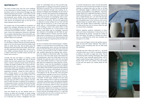# **MATERIALITY**

The work of Eileen Gray, from her iconic buildings to her embracing of furniture design, to use of light and block colour to hand-woven Donegal rugs and thickly painted gouche studies – exists within a world of contrasts. Beautiful linen and chrome, tufted rugs and lacquered room dividers. Gray was ambitious with her own diversity, known for her embracing of craft, and for an acceptance that no line was to be drawn between fine art and craft.

We accept, in many ways, a life that is built for us it's very fabrics, surfaces, textures are mass produced, taken so far from the human hand that initially made them to render them alien. We are taking away the dialogue that exists between the maker, and the person who experiences the made object - there is a human, hidden exchange between the last smooth of a maker's hand over a wooden surface and the next human skin to touch it.

Our present way of living enables an acceptance of speed that inevitably eliminates the human touch. Think of the knowledge we have for the names of commonly found Swedish furniture. Individual cultures, voices and experiences should be cherished. The accepted understanding of the whole IKEA catalogue speaks to how much we allow ourselves to be swayed. Objects are important.

Consider the love and labour in creating a hand woven blanket, the incredible skill seen in Mourne textiles that has been passed down through generations. A lamb is reared by human hands to become a sheep, the sheep is sheered. Yarn is spun and rendered ready for dye. The very dye is carefully curated, mixed and created. The ingredients come from years of unwritten knowledge, human connection to place, exploration, knowing - recipes for colour often created in female spaces. It is not simply information. It is knowledge. Culture, art and creation exist in its preservation. As does love. The final stage is an expert weaver, stringing spun yarn ready to be woven through warp and weft to create a pattern, the skeleton of which has been in existence for hundreds, if not thousands of years. Consider the hands that have created it, nourished it, designed it. The eyes and the human spirit that exist in every sleight of hand that goes into creating.

Once the threads are cut, this blanket exists as a memory of place and of people. A certain energy undoubtedly exists within it. This blanket then goes on to decorate your home; it disappears into your

world. So comfortably that you find yourself wrapping yourself in it, relying on its touch for comfort, it's fabrication for warmth. This is a human exchange that cannot be replicated through mass making. An exchange of energies and knowledge into the truth of *being*, it's function both physical and metaphysically. In objects, we do not need some silent object-thing that is only as human as it packaging, only as considered as it's factory's automation, it's quality check, it's ignorance of humanity. We have the opportunity to welcome a human energy into our lives with the things that live around us, a sort of love story that grows with us, communicating cross-generationally and instilling a culture and a place within us that knows us, that becomes us. It is ever present in the abstract hand-tufted rugs by Ceadogán, spanning vast stretches of knowledge and skill. Both are specific to different places in Ireland, and both undoubtedly protect connections to our lived pasts. Imagine how much can be learned from these processes, the lives that are lived and experienced by the feet walking over its surface.

> Ceramic vessels by Sara Flynn installed in lower ground bedroom, with Le Corbusier mural in the background

For me, an example of this imbued energy is 'Tiddles'. Tiddles is a cross stitched cat my brother and I made with my grandmother when I was five. My friends will know it as the first thing you see when you come into my home, and previously it lived on Nellie's kitchen wall, carefully observing the makings that continued to be created on that kitchen table. This energy exists also in the linen table square embroidered by my grandmother, which she would take out for tea. Originally this particular piece came from Curracloe house, where Nellie worked as a maid and housekeeper when her husband was a farm hand for a protestant family. I never met my Grandfather, he passed away very young, leaving Nellie to rear seven children alone. When I look at these cornerstone embroideries I imagine them creating a relief between her present (at that time) and her altar. I imagine the texture of it throughout my life, see the lilac, blue and green coloured flowers explode in front of me. A floral embroidery that existed in the background of my life, a reminder of both place, situation and craft. Years later, when making a shirt as a gift for my boyfriend, I remember spending hours embroidering bluebells and ducks onto its front. Both are specific to memory and place, to Ardcavan, where I'm from. The skill was learned and observed in my grandmother's kitchen, it's absorption seeped into my being, it communicates who I am, where I'm from and within that holds human histories, knowledge and love. It is a gift that communicates who you are to someone you love, literally giving them a piece of yourself.

In contrast, the aluminum, steel, concrete and plaster that I see in E.1027 are personal reminders of my years working on building sites with my Dad, or at least this materiality triggers a different kind of personal memory. Surrounded by a very different, "masculine" energy. Within this I understand the fabrics of two different, performed worlds - a constructed male world and a created female one. I can still smell and taste the dust, the scent of masonry paint or varnish takes me immediately back to the numerous sites around Wexford where we worked. What I mean to say with "male" and "female" ideas of materiality, is that they are often performed, and we forever retain the right to remove them completely.

Without applying academic explanation to Gray's works and many masterpieces, it shows how art can be understood by anyone- through the context of their own being. The reality of a present can inform how you understand the world, and inevitably how one goes on to create.

Gray's work and legacy remove the gender associations we have with certain materials. They meld together to birth something that will not slide easily into definition.

If gender was real, if there was truth in it - we would not need certain cuts of cloth or standards of beauty to define or by which to judge each other. The act of endorsing these existing stereotypes often gives them power. Gray outwardly rejected these, not through a public facing image of herself in say, a "suit" but by virtue of her own creation. The very tactility of the work and spaces she created allows for this nuance.